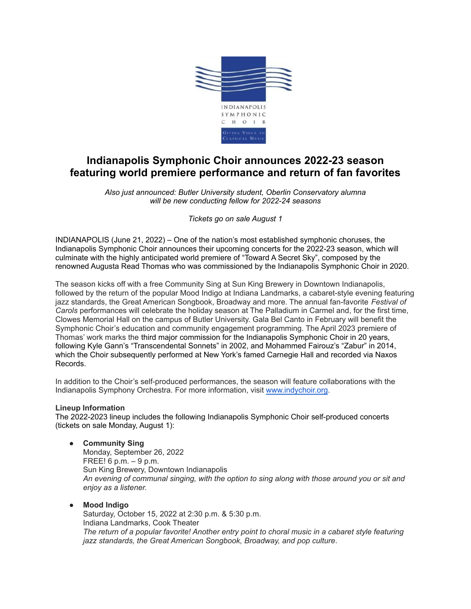

# **Indianapolis Symphonic Choir announces 2022-23 season featuring world premiere performance and return of fan favorites**

*Also just announced: Butler University student, Oberlin Conservatory alumna will be new conducting fellow for 2022-24 seasons*

*Tickets go on sale August 1*

INDIANAPOLIS (June 21, 2022) – One of the nation's most established symphonic choruses, the Indianapolis Symphonic Choir announces their upcoming concerts for the 2022-23 season, which will culminate with the highly anticipated world premiere of "Toward A Secret Sky", composed by the renowned Augusta Read Thomas who was commissioned by the Indianapolis Symphonic Choir in 2020.

The season kicks off with a free Community Sing at Sun King Brewery in Downtown Indianapolis, followed by the return of the popular Mood Indigo at Indiana Landmarks, a cabaret-style evening featuring jazz standards, the Great American Songbook, Broadway and more. The annual fan-favorite *Festival of Carols* performances will celebrate the holiday season at The Palladium in Carmel and, for the first time, Clowes Memorial Hall on the campus of Butler University. Gala Bel Canto in February will benefit the Symphonic Choir's education and community engagement programming. The April 2023 premiere of Thomas' work marks the third major commission for the Indianapolis Symphonic Choir in 20 years, following Kyle Gann's "Transcendental Sonnets" in 2002, and Mohammed Fairouz's "Zabur" in 2014, which the Choir subsequently performed at New York's famed Carnegie Hall and recorded via Naxos Records.

In addition to the Choir's self-produced performances, the season will feature collaborations with the Indianapolis Symphony Orchestra. For more information, visit [www.indychoir.org](http://www.indychoir.org).

#### **Lineup Information**

The 2022-2023 lineup includes the following Indianapolis Symphonic Choir self-produced concerts (tickets on sale Monday, August 1):

● **Community Sing**

Monday, September 26, 2022 FREE! 6 p.m. – 9 p.m. Sun King Brewery, Downtown Indianapolis *An evening of communal singing, with the option to sing along with those around you or sit and enjoy as a listener.*

● **Mood Indigo**

Saturday, October 15, 2022 at 2:30 p.m. & 5:30 p.m. Indiana Landmarks, Cook Theater *The return of a popular favorite! Another entry point to choral music in a cabaret style featuring jazz standards, the Great American Songbook, Broadway, and pop culture.*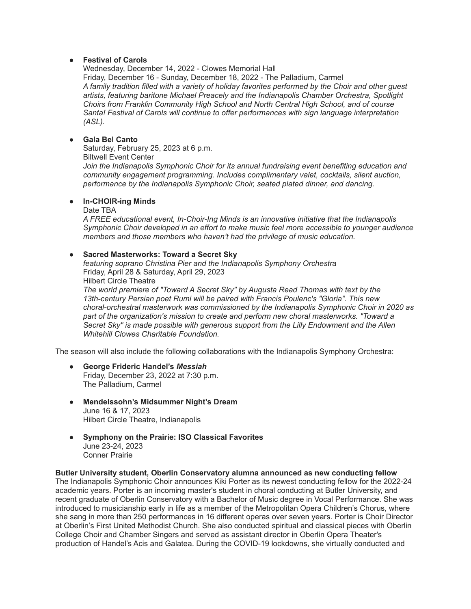#### *●* **Festival of Carols**

Wednesday, December 14, 2022 - Clowes Memorial Hall Friday, December 16 - Sunday, December 18, 2022 - The Palladium, Carmel *A family tradition filled with a variety of holiday favorites performed by the Choir and other guest artists, featuring baritone Michael Preacely and the Indianapolis Chamber Orchestra, Spotlight Choirs from Franklin Community High School and North Central High School, and of course Santa! Festival of Carols will continue to offer performances with sign language interpretation (ASL).*

## *●* **Gala Bel Canto**

Saturday, February 25, 2023 at 6 p.m. Biltwell Event Center *Join the Indianapolis Symphonic Choir for its annual fundraising event benefiting education and community engagement programming. Includes complimentary valet, cocktails, silent auction, performance by the Indianapolis Symphonic Choir, seated plated dinner, and dancing.*

## ● **In-CHOIR-ing Minds**

Date TBA

*A FREE educational event, In-Choir-Ing Minds is an innovative initiative that the Indianapolis Symphonic Choir developed in an effort to make music feel more accessible to younger audience members and those members who haven't had the privilege of music education.*

## ● **Sacred Masterworks: Toward a Secret Sky**

*featuring soprano Christina Pier and the Indianapolis Symphony Orchestra* Friday, April 28 & Saturday, April 29, 2023

Hilbert Circle Theatre

*The world premiere of "Toward A Secret Sky" by Augusta Read Thomas with text by the 13th-century Persian poet Rumi will be paired with Francis Poulenc's "Gloria". This new choral-orchestral masterwork was commissioned by the Indianapolis Symphonic Choir in 2020 as part of the organization's mission to create and perform new choral masterworks. "Toward a Secret Sky" is made possible with generous support from the Lilly Endowment and the Allen Whitehill Clowes Charitable Foundation.*

The season will also include the following collaborations with the Indianapolis Symphony Orchestra:

- **George Frideric Handel's** *Messiah* Friday, December 23, 2022 at 7:30 p.m. The Palladium, Carmel
- **Mendelssohn's Midsummer Night's Dream** June 16 & 17, 2023 Hilbert Circle Theatre, Indianapolis
- **Symphony on the Prairie: ISO Classical Favorites** June 23-24, 2023 Conner Prairie

#### **Butler University student, Oberlin Conservatory alumna announced as new conducting fellow**

The Indianapolis Symphonic Choir announces Kiki Porter as its newest conducting fellow for the 2022-24 academic years. Porter is an incoming master's student in choral conducting at Butler University, and recent graduate of Oberlin Conservatory with a Bachelor of Music degree in Vocal Performance. She was introduced to musicianship early in life as a member of the Metropolitan Opera Children's Chorus, where she sang in more than 250 performances in 16 different operas over seven years. Porter is Choir Director at Oberlin's First United Methodist Church. She also conducted spiritual and classical pieces with Oberlin College Choir and Chamber Singers and served as assistant director in Oberlin Opera Theater's production of Handel's Acis and Galatea. During the COVID-19 lockdowns, she virtually conducted and